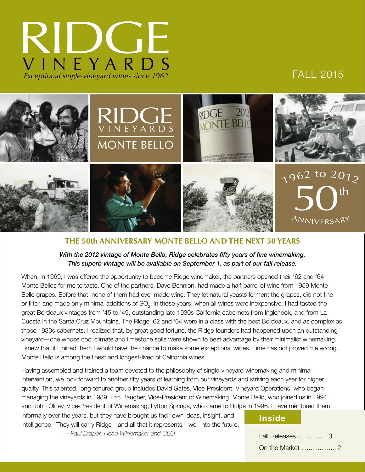

## FALL 2015



### **THE 50th ANNIVERSARY MONTE BELLO AND THE NEXT 50 YEARS**

#### *With the 2012 vintage of Monte Bello, Ridge celebrates fifty years of fine winemaking. This superb vintage will be available on September 1, as part of our fall release.*

When, in 1969, I was offered the opportunity to become Ridge winemaker, the partners opened their '62 and '64 Monte Bellos for me to taste. One of the partners, Dave Bennion, had made a half-barrel of wine from 1959 Monte Bello grapes. Before that, none of them had ever made wine. They let natural yeasts ferment the grapes, did not fine or filter, and made only minimal additions of SO<sub>2</sub>. In those years, when all wines were inexpensive, I had tasted the great Bordeaux vintages from '45 to '49, outstanding late 1930s California cabernets from Inglenook, and from La Cuesta in the Santa Cruz Mountains. The Ridge '62 and '64 were in a class with the best Bordeaux, and as complex as those 1930s cabernets. I realized that, by great good fortune, the Ridge founders had happened upon an outstanding vineyard—one whose cool climate and limestone soils were shown to best advantage by their minimalist winemaking. I knew that if I joined them I would have the chance to make some exceptional wines. Time has not proved me wrong. Monte Bello is among the finest and longest-lived of California wines.

Having assembled and trained a team devoted to the philosophy of single-vineyard winemaking and minimal intervention, we look forward to another fifty years of learning from our vineyards and striving each year for higher quality. This talented, long-tenured group includes David Gates, Vice-President, Vineyard Operations, who began managing the vineyards in 1989; Eric Baugher, Vice-President of Winemaking, Monte Bello, who joined us in 1994; and John Olney, Vice-President of Winemaking, Lytton Springs, who came to Ridge in 1996. I have mentored them

informally over the years, but they have brought us their own ideas, insight, and intelligence. They will carry Ridge—and all that it represents—well into the future. *—Paul Draper, Head Winemaker and CEO*

#### **Inside**

Fall Releases ................ 3 On the Market ................... 2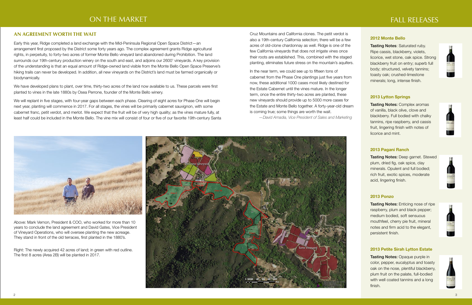# ON THE MARKET THE MARKET THE SERVICE OF THE SERVICE OF THE SERVICE OF THE SERVICE OF THE SERVICE OF THE SERVICE

### **AN AGREEMENT WORTH THE WAIT**

Early this year, Ridge completed a land exchange with the Mid-Peninsula Regional Open Space District—an arrangement first proposed by the District some forty years ago. The complex agreement grants Ridge agricultural rights, in perpetuity, to forty-two acres of former Monte Bello vineyard land abandoned during Prohibition. The land surrounds our 19th-century production winery on the south and east, and adjoins our 2600' vineyards. A key provision of the understanding is that an equal amount of Ridge-owned land visible from the Monte Bello Open Space Preserve's hiking trails can never be developed. In addition, all new vineyards on the District's land must be farmed organically or biodynamically.

We have developed plans to plant, over time, thirty-two acres of the land now available to us. These parcels were first planted to vines in the late 1880s by Osea Perrone, founder of the Monte Bello winery.

We will replant in five stages, with four-year gaps between each phase. Clearing of eight acres for Phase One will begin next year, planting will commence in 2017. For all stages, the vines will be primarily cabernet sauvignon, with some cabernet franc, petit verdot, and merlot. We expect that the fruit will be of very high quality; as the vines mature fully, at least half could be included in the Monte Bello. The vine mix will consist of four or five of our favorite 19th-century Santa **Tasting Notes: Saturated ruby.** Ripe cassis, blackberry, violets, licorice, wet stone, oak spice. Strong blackberry fruit on entry; superb full body; structured, velvety tannins; toasty oak; crushed-limestone minerals; long, intense finish.

**Tasting Notes: Complex aromas** of vanilla, black olive, clove and blackberry. Full bodied with chalky tannins, ripe raspberry, and cassis fruit, lingering finish with notes of licorice and mint.

Cruz Mountains and California clones. The petit verdot is also a 19th-century California selection; there will be a few acres of old-clone chardonnay as well. Ridge is one of the few California vineyards that does not irrigate vines once their roots are established. This, combined with the staged planting, eliminates future stress on the mountain's aquifers.

> **Tasting Notes: Opaque purple in** color, pepper, eucalyptus and toasty oak on the nose, plentiful blackberry, plum fruit on the palate, full-bodied with well coated tannins and a long finish.













In the near term, we could see up to fifteen tons of cabernet from the Phase One plantings just five years from now, these additional 1000 cases most likely destined for the Estate Cabernet until the vines mature. In the longer term, once the entire thirty-two acres are planted, these new vineyards should provide up to 5000 more cases for the Estate and Monte Bello together. A forty-year-old dream is coming true; some things are worth the wait.

*—David Amadia, Vice President of Sales and Marketing*



Above: Mark Vernon, President & COO, who worked for more than 10 years to conclude the land agreement and David Gates, Vice President of Vineyard Operations, who will oversee planting the new acreage. They stand in front of the old terraces, first planted in the 1880's.

Right: The newly acquired 42 acres of land; in green with red outline. The first 8 acres (Area 2B) will be planted in 2017.

#### **2012 Monte Bello**

#### **2013 Lytton Springs**

#### **2013 Pagani Ranch**

Tasting Notes: Deep garnet. Stewed plum, dried fig, oak spice, clay minerals. Opulent and full bodied; rich fruit, exotic spices, moderate acid, lingering finish.

### **2013 Ponzo**

Tasting Notes: Enticing nose of ripe raspberry, plum and black pepper; medium bodied, soft sensuous mouthfeel, cherry pie fruit, mineral notes and firm acid to the elegant, persistent finish.

#### **2013 Petite Sirah Lytton Estate**